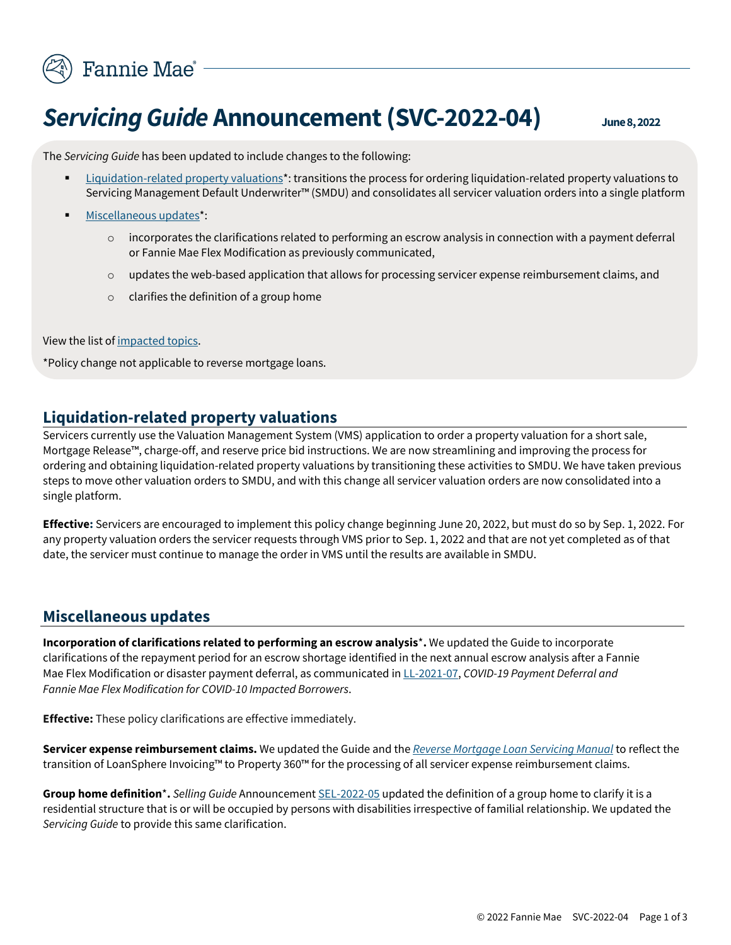

## **Servicing Guide Announcement (SVC-2022-04)** June 8, 2022

The *Servicing Guide* has been updated to include changes to the following:

- **Example 1** [Liquidation-](#page-0-0)related property valuations<sup>\*</sup>: transitions the process for ordering liquidation-related property valuations to Servicing Management Default Underwriter™ (SMDU) and consolidates all servicer valuation orders into a single platform
- [Miscellaneous updates\\*](#page-0-1):
	- $\circ$  incorporates the clarifications related to performing an escrow analysis in connection with a payment deferral or Fannie Mae Flex Modification as previously communicated,
	- o updates the web-based application that allows for processing servicer expense reimbursement claims, and
	- o clarifies the definition of a group home

View the list o[f impacted topics.](#page-2-0)

\*Policy change not applicable to reverse mortgage loans.

## **Liquidation-related property valuations**

<span id="page-0-0"></span>Servicers currently use the Valuation Management System (VMS) application to order a property valuation for a short sale, Mortgage Release™, charge-off, and reserve price bid instructions. We are now streamlining and improving the process for ordering and obtaining liquidation-related property valuations by transitioning these activities to SMDU. We have taken previous steps to move other valuation orders to SMDU, and with this change all servicer valuation orders are now consolidated into a single platform.

**Effective:** Servicers are encouraged to implement this policy change beginning June 20, 2022, but must do so by Sep. 1, 2022. For any property valuation orders the servicer requests through VMS prior to Sep. 1, 2022 and that are not yet completed as of that date, the servicer must continue to manage the order in VMS until the results are available in SMDU.

## **Miscellaneous updates**

<span id="page-0-1"></span>**Incorporation of clarifications related to performing an escrow analysis**\***.** We updated the Guide to incorporate clarifications of the repayment period for an escrow shortage identified in the next annual escrow analysis after a Fannie Mae Flex Modification or disaster payment deferral, as communicated i[n LL-2021-07,](https://singlefamily.fanniemae.com/media/document/pdf/lender-letter-ll-2021-07-covid-19-payment-deferral) *COVID-19 Payment Deferral and Fannie Mae Flex Modification for COVID-10 Impacted Borrowers*.

**Effective:** These policy clarifications are effective immediately.

**Servicer expense reimbursement claims.** We updated the Guide and the *[Reverse Mortgage Loan Servicing Manual](https://singlefamily.fanniemae.com/media/document/pdf/reverse-mortgage-loan-servicing-manual)* to reflect the transition of LoanSphere Invoicing™ to Property 360™ for the processing of all servicer expense reimbursement claims.

**Group home definition**\***.** *Selling Guide* Announcemen[t SEL-2022-05](https://singlefamily.fanniemae.com/media/document/pdf/announcement-sel-2022-05-selling-guide-updates) updated the definition of a group home to clarify it is a residential structure that is or will be occupied by persons with disabilities irrespective of familial relationship. We updated the *Servicing Guide* to provide this same clarification.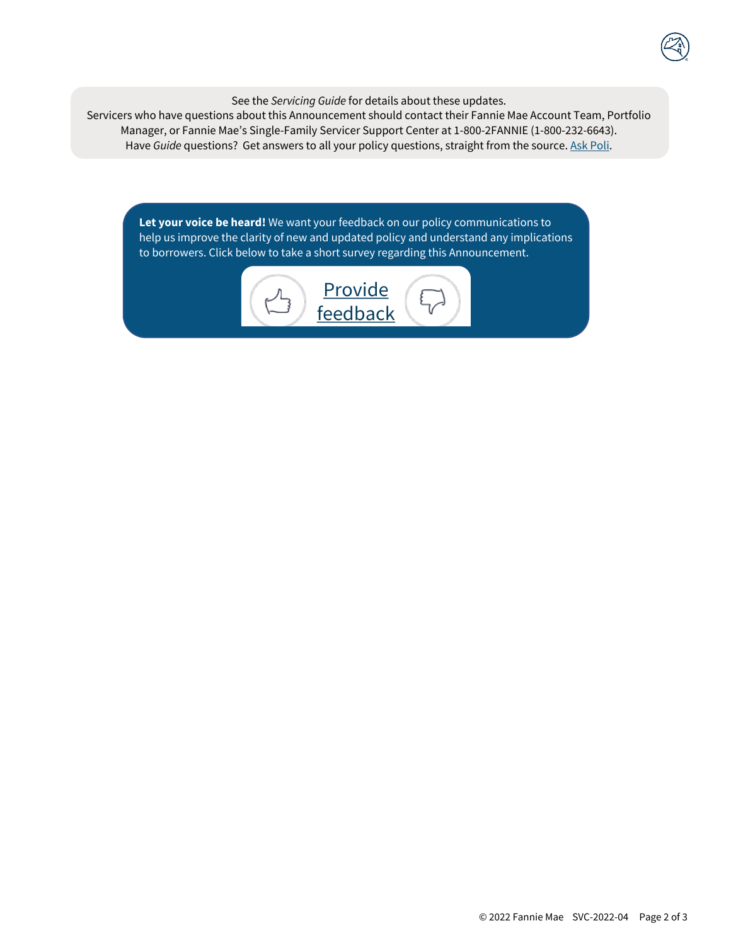See the *Servicing Guide* for details about these updates.

Servicers who have questions about this Announcement should contact their Fannie Mae Account Team, Portfolio Manager, or Fannie Mae's Single-Family Servicer Support Center at 1-800-2FANNIE (1-800-232-6643). Have *Guide* questions? Get answers to all your policy questions, straight from the source. [Ask Poli.](https://askpoliservicing.fanniemae.com/)

**Let your voice be heard!** We want your feedback on our policy communications to help us improve the clarity of new and updated policy and understand any implications to borrowers. Click below to take a short survey regarding this Announcement.